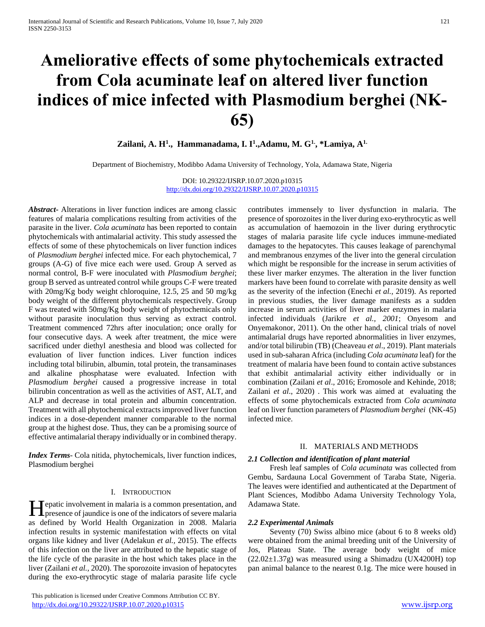# **Ameliorative effects of some phytochemicals extracted from Cola acuminate leaf on altered liver function indices of mice infected with Plasmodium berghei (NK-65)**

**Zailani, A. H<sup>1</sup> ., Hammanadama, I. I<sup>1</sup> .,Adamu, M. G1., \*Lamiya, A1.**

Department of Biochemistry, Modibbo Adama University of Technology, Yola, Adamawa State, Nigeria

DOI: 10.29322/IJSRP.10.07.2020.p10315 <http://dx.doi.org/10.29322/IJSRP.10.07.2020.p10315>

*Abstract***-** Alterations in liver function indices are among classic features of malaria complications resulting from activities of the parasite in the liver. *Cola acuminata* has been reported to contain phytochemicals with antimalarial activity. This study assessed the effects of some of these phytochemicals on liver function indices of *Plasmodium berghei* infected mice. For each phytochemical, 7 groups (A-G) of five mice each were used. Group A served as normal control, B-F were inoculated with *Plasmodium berghei*; group B served as untreated control while groups C-F were treated with 20mg/Kg body weight chloroquine, 12.5, 25 and 50 mg/kg body weight of the different phytochemicals respectively. Group F was treated with 50mg/Kg body weight of phytochemicals only without parasite inoculation thus serving as extract control. Treatment commenced 72hrs after inoculation; once orally for four consecutive days. A week after treatment, the mice were sacrificed under diethyl anesthesia and blood was collected for evaluation of liver function indices. Liver function indices including total bilirubin, albumin, total protein, the transaminases and alkaline phosphatase were evaluated. Infection with *Plasmodium berghei* caused a progressive increase in total bilirubin concentration as well as the activities of AST, ALT, and ALP and decrease in total protein and albumin concentration. Treatment with all phytochemical extracts improved liver function indices in a dose-dependent manner comparable to the normal group at the highest dose. Thus, they can be a promising source of effective antimalarial therapy individually or in combined therapy.

*Index Terms*- Cola nitida, phytochemicals, liver function indices, Plasmodium berghei

# I. INTRODUCTION

Tepatic involvement in malaria is a common presentation, and Hepatic involvement in malaria is a common presentation, and<br>presence of jaundice is one of the indicators of severe malaria as defined by World Health Organization in 2008. Malaria infection results in systemic manifestation with effects on vital organs like kidney and liver (Adelakun *et al.,* 2015). The effects of this infection on the liver are attributed to the hepatic stage of the life cycle of the parasite in the host which takes place in the liver (Zailani *et al.,* 2020). The sporozoite invasion of hepatocytes during the exo-erythrocytic stage of malaria parasite life cycle

 This publication is licensed under Creative Commons Attribution CC BY. <http://dx.doi.org/10.29322/IJSRP.10.07.2020.p10315> [www.ijsrp.org](http://ijsrp.org/)

contributes immensely to liver dysfunction in malaria. The presence of sporozoites in the liver during exo-erythrocytic as well as accumulation of haemozoin in the liver during erythrocytic stages of malaria parasite life cycle induces immune-mediated damages to the hepatocytes. This causes leakage of parenchymal and membranous enzymes of the liver into the general circulation which might be responsible for the increase in serum activities of these liver marker enzymes. The alteration in the liver function markers have been found to correlate with parasite density as well as the severity of the infection (Enechi *et al.,* 2019). As reported in previous studies, the liver damage manifests as a sudden increase in serum activities of liver marker enzymes in malaria infected individuals (Jarikre *et al., 2001*; Onyesom and Onyemakonor, 2011). On the other hand, clinical trials of novel antimalarial drugs have reported abnormalities in liver enzymes, and/or total bilirubin (TB) (Cheaveau *et al*., 2019). Plant materials used in sub-saharan Africa (including *Cola acuminata* leaf) for the treatment of malaria have been found to contain active substances that exhibit antimalarial activity either individually or in combination (Zailani *et al*., 2016; Eromosole and Kehinde, 2018; Zailani *et al*., 2020) . This work was aimed at evaluating the effects of some phytochemicals extracted from *Cola acuminata* leaf on liver function parameters of *Plasmodium berghei* (NK-45) infected mice.

#### II. MATERIALS AND METHODS

#### *2.1 Collection and identification of plant material*

 Fresh leaf samples of *Cola acuminata* was collected from Gembu, Sardauna Local Government of Taraba State, Nigeria. The leaves were identified and authenticated at the Department of Plant Sciences, Modibbo Adama University Technology Yola, Adamawa State.

#### *2.2 Experimental Animals*

 Seventy (70) Swiss albino mice (about 6 to 8 weeks old) were obtained from the animal breeding unit of the University of Jos, Plateau State. The average body weight of mice (22.02±1.37g) was measured using a Shimadzu (UX4200H) top pan animal balance to the nearest 0.1g. The mice were housed in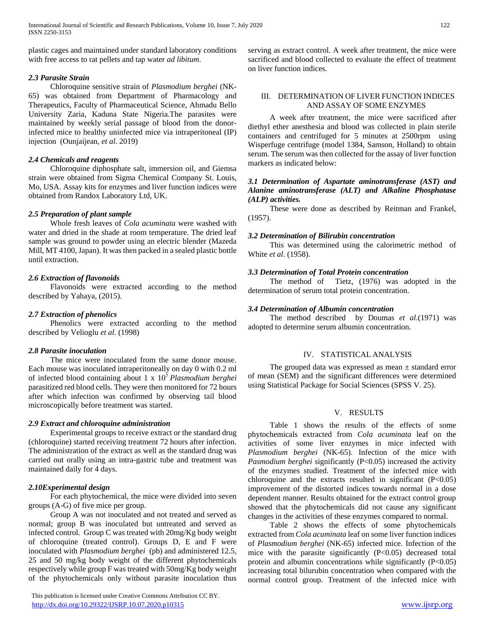plastic cages and maintained under standard laboratory conditions with free access to rat pellets and tap water *ad libitum*.

# *2.3 Parasite Strain*

 Chloroquine sensitive strain of *Plasmodium berghei* (NK-65) was obtained from Department of Pharmacology and Therapeutics, Faculty of Pharmaceutical Science, Ahmadu Bello University Zaria, Kaduna State Nigeria.The parasites were maintained by weekly serial passage of blood from the donorinfected mice to healthy uninfected mice via intraperitoneal (IP) injection (Ounjaijean, *et al*. 2019)

# *2.4 Chemicals and reagents*

 Chloroquine diphosphate salt, immersion oil, and Giemsa strain were obtained from Sigma Chemical Company St. Louis, Mo, USA. Assay kits for enzymes and liver function indices were obtained from Randox Laboratory Ltd, UK.

# *2.5 Preparation of plant sample*

 Whole fresh leaves of *Cola acuminata* were washed with water and dried in the shade at room temperature. The dried leaf sample was ground to powder using an electric blender (Mazeda Mill, MT 4100, Japan). It was then packed in a sealed plastic bottle until extraction.

# *2.6 Extraction of flavonoids*

 Flavonoids were extracted according to the method described by Yahaya, (2015).

## *2.7 Extraction of phenolics*

 Phenolics were extracted according to the method described by Velioglu *et al.* (1998)

# *2.8 Parasite inoculation*

 The mice were inoculated from the same donor mouse. Each mouse was inoculated intraperitoneally on day 0 with 0.2 ml of infected blood containing about 1 x 10<sup>7</sup>*Plasmodium berghei*  parasitized red blood cells. They were then monitored for 72 hours after which infection was confirmed by observing tail blood microscopically before treatment was started.

# *2.9 Extract and chloroquine administration*

 Experimental groups to receive extract or the standard drug (chloroquine) started receiving treatment 72 hours after infection. The administration of the extract as well as the standard drug was carried out orally using an intra-gastric tube and treatment was maintained daily for 4 days.

# *2.10Experimental design*

 For each phytochemical, the mice were divided into seven groups (A-G) of five mice per group.

 Group A was not inoculated and not treated and served as normal; group B was inoculated but untreated and served as infected control. Group C was treated with 20mg/Kg body weight of chloroquine (treated control). Groups D, E and F were inoculated with *Plasmodium berghei* (pb) and administered 12.5, 25 and 50 mg/kg body weight of the different phytochemicals respectively while group F was treated with 50mg/Kg body weight of the phytochemicals only without parasite inoculation thus

 This publication is licensed under Creative Commons Attribution CC BY. <http://dx.doi.org/10.29322/IJSRP.10.07.2020.p10315> [www.ijsrp.org](http://ijsrp.org/)

serving as extract control. A week after treatment, the mice were sacrificed and blood collected to evaluate the effect of treatment on liver function indices.

# III. DETERMINATION OF LIVER FUNCTION INDICES AND ASSAY OF SOME ENZYMES

 A week after treatment, the mice were sacrificed after diethyl ether anesthesia and blood was collected in plain sterile containers and centrifuged for 5 minutes at 2500rpm using Wisperfuge centrifuge (model 1384, Samson, Holland) to obtain serum. The serum was then collected for the assay of liver function markers as indicated below:

#### *3.1 Determination of Aspartate aminotransferase (AST) and Alanine aminotransferase (ALT) and Alkaline Phosphatase (ALP) activities.*

 These were done as described by Reitman and Frankel, (1957).

#### *3.2 Determination of Bilirubin concentration*

 This was determined using the calorimetric method of White *et al*. (1958).

# *3.3 Determination of Total Protein concentration*

 The method of Tietz, (1976) was adopted in the determination of serum total protein concentration.

# *3.4 Determination of Albumin concentration*

 The method described by Doumas *et al*.(1971) was adopted to determine serum albumin concentration.

#### IV. STATISTICAL ANALYSIS

The grouped data was expressed as mean  $\pm$  standard error of mean (SEM) and the significant differences were determined using Statistical Package for Social Sciences (SPSS V. 25).

## V. RESULTS

 Table 1 shows the results of the effects of some phytochemicals extracted from *Cola acuminata* leaf on the activities of some liver enzymes in mice infected with *Plasmodium berghei* (NK-65). Infection of the mice with *Pasmodium berghei* significantly (P<0.05) increased the activity of the enzymes studied. Treatment of the infected mice with chloroquine and the extracts resulted in significant  $(P<0.05)$ improvement of the distorted indices towards normal in a dose dependent manner. Results obtained for the extract control group showed that the phytochemicals did not cause any significant changes in the activities of these enzymes compared to normal.

 Table 2 shows the effects of some phytochemicals extracted from *Cola acuminata* leaf on some liver function indices of *Plasmodium berghei* (NK-65) infected mice. Infection of the mice with the parasite significantly  $(P<0.05)$  decreased total protein and albumin concentrations while significantly  $(P<0.05)$ increasing total bilurubin concentration when compared with the normal control group. Treatment of the infected mice with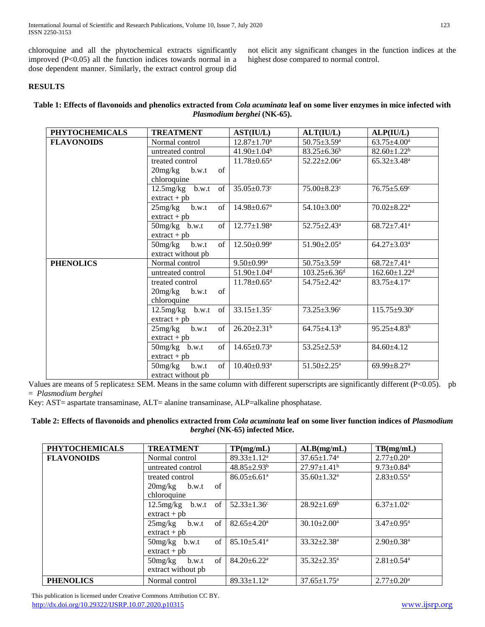chloroquine and all the phytochemical extracts significantly improved (P<0.05) all the function indices towards normal in a dose dependent manner. Similarly, the extract control group did

not elicit any significant changes in the function indices at the highest dose compared to normal control.

# **RESULTS**

# **Table 1: Effects of flavonoids and phenolics extracted from** *Cola acuminata* **leaf on some liver enzymes in mice infected with**  *Plasmodium berghei* **(NK-65).**

| <b>PHYTOCHEMICALS</b> | <b>TREATMENT</b>    |            | AST(IU/L)                     | ALT(IU/L)                      | ALP(IU/L)                      |
|-----------------------|---------------------|------------|-------------------------------|--------------------------------|--------------------------------|
| <b>FLAVONOIDS</b>     | Normal control      |            | $12.87 \pm 1.70^a$            | $50.75 \pm 3.59$ <sup>a</sup>  | $63.75 \pm 4.00^a$             |
|                       | untreated control   |            | $41.90 \pm 1.04^b$            | $83.25 \pm 6.36^b$             | $82.60 \pm 1.22^b$             |
|                       | treated control     |            | $11.78 \pm 0.65$ <sup>a</sup> | $52.22 \pm 2.06^a$             | $65.32 \pm 3.48$ <sup>a</sup>  |
|                       | $20mg/kg$ b.w.t     | $\sigma$ f |                               |                                |                                |
|                       | chloroquine         |            |                               |                                |                                |
|                       | $12.5$ mg/kg b.w.t  | of         | $35.05 \pm 0.73$ <sup>c</sup> | $75.00 \pm 8.23$ c             | $76.75 \pm 5.69^c$             |
|                       | $extrac{t + pb}{}$  |            |                               |                                |                                |
|                       | 25mg/kg<br>b.w.t    | of         | $14.98 \pm 0.67$ <sup>a</sup> | $54.10 \pm 3.00^a$             | $70.02 \pm 8.22$ <sup>a</sup>  |
|                       | $ext{react} + pb$   |            |                               |                                |                                |
|                       | $50mg/kg$ b.w.t     | of         | $12.77 \pm 1.98$ <sup>a</sup> | $52.75 \pm 2.43$ <sup>a</sup>  | $68.72 \pm 7.41$ <sup>a</sup>  |
|                       | $extract + pb$      |            |                               |                                |                                |
|                       | $50$ mg/kg<br>b.w.t | of         | $12.50 \pm 0.99^{\mathrm{a}}$ | $51.90 \pm 2.05^{\mathrm{a}}$  | $64.27 \pm 3.03^a$             |
|                       | extract without pb  |            |                               |                                |                                |
| <b>PHENOLICS</b>      | Normal control      |            | $9.50 \pm 0.99$ <sup>a</sup>  | $50.75 \pm 3.59$ <sup>a</sup>  | $68.72 \pm 7.41$ <sup>a</sup>  |
|                       | untreated control   |            | $51.90 \pm 1.04$ <sup>d</sup> | $103.25 \pm 6.36$ <sup>d</sup> | $162.60 \pm 1.22$ <sup>d</sup> |
|                       | treated control     |            | $11.78 \pm 0.65^{\text{a}}$   | $54.75 \pm 2.42^a$             | $83.75 \pm 4.17$ <sup>a</sup>  |
|                       | $20mg/kg$ b.w.t     | $\sigma$ f |                               |                                |                                |
|                       | chloroquine         |            |                               |                                |                                |
|                       | $12.5mg/kg$ b.w.t   | $\sigma$ f | $33.15 \pm 1.35$ <sup>c</sup> | $73.25 \pm 3.96^c$             | $115.75 \pm 9.30^c$            |
|                       | $ext{react} + pb$   |            |                               |                                |                                |
|                       | 25mg/kg<br>b.w.t    | $\sigma$ f | $26.20 \pm 2.31$ <sup>b</sup> | $64.75 \pm 4.13^b$             | $95.25 \pm 4.83^b$             |
|                       | $extract + pb$      |            |                               |                                |                                |
|                       | $50mg/kg$ b.w.t     | of         | $14.65 \pm 0.73$ <sup>a</sup> | $53.25 \pm 2.53^{\text{a}}$    | 84.60±4.12                     |
|                       | $extract + pb$      |            |                               |                                |                                |
|                       | 50mg/kg<br>b.w.t    | $\sigma$ f | $10.40 \pm 0.93$ <sup>a</sup> | $51.50 \pm 2.25$ <sup>a</sup>  | 69.99 $\pm$ 8.27 <sup>a</sup>  |
|                       | extract without pb  |            |                               |                                |                                |

Values are means of 5 replicates± SEM. Means in the same column with different superscripts are significantly different (P<0.05). pb = *Plasmodium berghei*

Key: AST= aspartate transaminase, ALT= alanine transaminase, ALP=alkaline phosphatase.

# **Table 2: Effects of flavonoids and phenolics extracted from** *Cola acuminata* **leaf on some liver function indices of** *Plasmodium berghei* **(NK-65) infected Mice.**

| <b>PHYTOCHEMICALS</b> | <b>TREATMENT</b>               | TP(mg/mL)                     | ALB(mg/mL)                    | TB(mg/mL)                    |
|-----------------------|--------------------------------|-------------------------------|-------------------------------|------------------------------|
| <b>FLAVONOIDS</b>     | Normal control                 | $89.33 \pm 1.12^a$            | $37.65 \pm 1.74$ <sup>a</sup> | $2.77 \pm 0.20^a$            |
|                       | untreated control              | $48.85 \pm 2.93^b$            | $27.97 \pm 1.41^b$            | $9.73 \pm 0.84^b$            |
|                       | treated control                | $86.05 \pm 6.61$ <sup>a</sup> | $35.60 \pm 1.32$ <sup>a</sup> | $2.83 \pm 0.55$ <sup>a</sup> |
|                       | $\sigma$ f<br>$20mg/kg$ b.w.t  |                               |                               |                              |
|                       | chloroquine                    |                               |                               |                              |
|                       | $12.5$ mg/kg b.w.t of          | $52.33 \pm 1.36$ <sup>c</sup> | $28.92 \pm 1.69^b$            | $6.37 \pm 1.02$ <sup>c</sup> |
|                       | $ext{react} + pb$              |                               |                               |                              |
|                       | of<br>25mg/kg<br>b.w.t         | $82.65 \pm 4.20^a$            | $30.10 \pm 2.00^a$            | $3.47 \pm 0.95^{\text{a}}$   |
|                       | $ext{ract} + pb$               |                               |                               |                              |
|                       | $\sigma$ f<br>50mg/kg<br>b.w.t | $85.10 \pm 5.41$ <sup>a</sup> | $33.32 + 2.38^a$              | $2.90 \pm 0.38$ <sup>a</sup> |
|                       | $extrac{t + pb}{}$             |                               |                               |                              |
|                       | of<br>$50$ mg/ $kg$<br>b.w.t   | $84.20 \pm 6.22$ <sup>a</sup> | $35.32 \pm 2.35^{\mathrm{a}}$ | $2.81 \pm 0.54$ <sup>a</sup> |
|                       | extract without pb             |                               |                               |                              |
| <b>PHENOLICS</b>      | Normal control                 | $89.33 \pm 1.12^a$            | $37.65 \pm 1.75^{\mathrm{a}}$ | $2.77 \pm 0.20^{\text{a}}$   |

 This publication is licensed under Creative Commons Attribution CC BY. <http://dx.doi.org/10.29322/IJSRP.10.07.2020.p10315> [www.ijsrp.org](http://ijsrp.org/)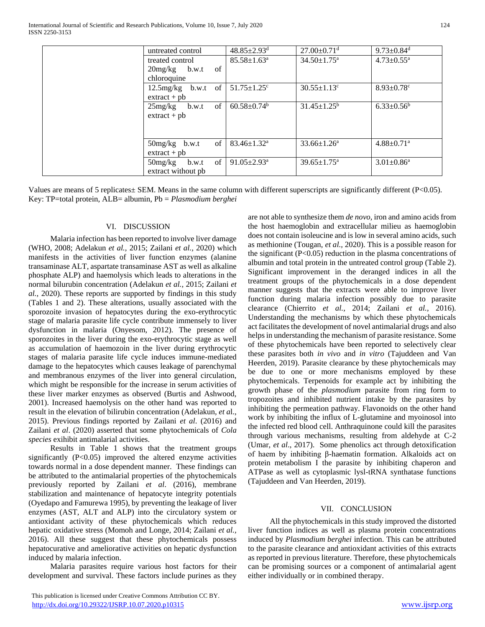International Journal of Scientific and Research Publications, Volume 10, Issue 7, July 2020 ISSN 2250-3153

|  | untreated control                               | $48.85 \pm 2.93$ <sup>d</sup> | $27.00 \pm 0.71$ <sup>d</sup> | $9.73 \pm 0.84$ <sup>d</sup> |
|--|-------------------------------------------------|-------------------------------|-------------------------------|------------------------------|
|  | treated control                                 | $85.58 \pm 1.63$ <sup>a</sup> | $34.50 \pm 1.75$ <sup>a</sup> | $4.73 \pm 0.55$ <sup>a</sup> |
|  | of<br>$20$ mg/kg b.w.t<br>chloroquine           |                               |                               |                              |
|  | $12.5$ mg/kg b.w.t of<br>$ext{ract} + pb$       | $51.75 \pm 1.25$ <sup>c</sup> | $30.55 \pm 1.13$ <sup>c</sup> | $8.93 \pm 0.78$ <sup>c</sup> |
|  | of<br>25mg/kg<br>b.w.t<br>$extract + pb$        | $60.58 \pm 0.74$ <sup>b</sup> | $31.45 \pm 1.25^b$            | $6.33 \pm 0.56^b$            |
|  | of<br>$50mg/kg$ b.w.t<br>$ext{ract} + pb$       | $83.46 \pm 1.32$ <sup>a</sup> | $33.66 \pm 1.26^a$            | $4.88 \pm 0.71$ <sup>a</sup> |
|  | of<br>$50$ mg/kg<br>b.w.t<br>extract without pb | $91.05 \pm 2.93$ <sup>a</sup> | $39.65 \pm 1.75^{\mathrm{a}}$ | $3.01 \pm 0.86^a$            |

Values are means of 5 replicates± SEM. Means in the same column with different superscripts are significantly different (P<0.05). Key: TP=total protein, ALB= albumin, Pb = *Plasmodium berghei*

#### VI. DISCUSSION

 Malaria infection has been reported to involve liver damage (WHO, 2008; Adelakun *et al.,* 2015; Zailani *et al.,* 2020) which manifests in the activities of liver function enzymes (alanine transaminase ALT, aspartate transaminase AST as well as alkaline phosphate ALP) and haemolysis which leads to alterations in the normal bilurubin concentration (Adelakun *et al.,* 2015; Zailani *et al.,* 2020). These reports are supported by findings in this study (Tables 1 and 2). These alterations, usually associated with the sporozoite invasion of hepatocytes during the exo-erythrocytic stage of malaria parasite life cycle contribute immensely to liver dysfunction in malaria (Onyesom, 2012). The presence of sporozoites in the liver during the exo-erythrocytic stage as well as accumulation of haemozoin in the liver during erythrocytic stages of malaria parasite life cycle induces immune-mediated damage to the hepatocytes which causes leakage of parenchymal and membranous enzymes of the liver into general circulation, which might be responsible for the increase in serum activities of these liver marker enzymes as observed (Burtis and Ashwood, 2001). Increased haemolysis on the other hand was reported to result in the elevation of bilirubin concentration (Adelakun, *et a*l., 2015). Previous findings reported by Zailani *et al*. (2016) and Zailani *et al*. (2020) asserted that some phytochemicals of *Cola species* exihibit antimalarial activities.

 Results in Table 1 shows that the treatment groups significantly  $(P<0.05)$  improved the altered enzyme activities towards normal in a dose dependent manner. These findings can be attributed to the antimalarial properties of the phytochemicals previously reported by Zailani *et al*. (2016), membrane stabilization and maintenance of hepatocyte integrity potentials (Oyedapo and Famurewa 1995), by preventing the leakage of liver enzymes (AST, ALT and ALP) into the circulatory system or antioxidant activity of these phytochemicals which reduces hepatic oxidative stress (Momoh and Longe, 2014; Zailani *et al.,* 2016). All these suggest that these phytochemicals possess hepatocurative and ameliorative activities on hepatic dysfunction induced by malaria infection.

 Malaria parasites require various host factors for their development and survival. These factors include purines as they are not able to synthesize them *de novo,* iron and amino acids from the host haemoglobin and extracellular milieu as haemoglobin does not contain isoleucine and is low in several amino acids, such as methionine (Tougan, *et al.,* 2020). This is a possible reason for the significant (P<0.05) reduction in the plasma concentrations of albumin and total protein in the untreated control group (Table 2). Significant improvement in the deranged indices in all the treatment groups of the phytochemicals in a dose dependent manner suggests that the extracts were able to improve liver function during malaria infection possibly due to parasite clearance (Chierrito *et al.,* 2014; Zailani *et al.,* 2016). Understanding the mechanisms by which these phytochemicals act facilitates the development of novel antimalarial drugs and also helps in understanding the mechanism of parasite resistance. Some of these phytochemicals have been reported to selectively clear these parasites both *in vivo* and *in vitro* (Tajuddeen and Van Heerden, 2019). Parasite clearance by these phytochemicals may be due to one or more mechanisms employed by these phytochemicals. Terpenoids for example act by inhibiting the growth phase of the *plasmodium* parasite from ring form to tropozoites and inhibited nutrient intake by the parasites by inhibiting the permeation pathway. Flavonoids on the other hand work by inhibiting the influx of L-glutamine and myoinosol into the infected red blood cell. Anthraquinone could kill the parasites through various mechanisms, resulting from aldehyde at C-2 (Umar, *et al*., 2017). Some phenolics act through detoxification of haem by inhibiting β-haematin formation. Alkaloids act on protein metabolism I the parasite by inhibiting chaperon and ATPase as well as cytoplasmic lysl-tRNA synthatase functions (Tajuddeen and Van Heerden, 2019).

## VII. CONCLUSION

 All the phytochemicals in this study improved the distorted liver function indices as well as plasma protein concentrations induced by *Plasmodium berghei* infection. This can be attributed to the parasite clearance and antioxidant activities of this extracts as reported in previous literature. Therefore, these phytochemicals can be promising sources or a component of antimalarial agent either individually or in combined therapy.